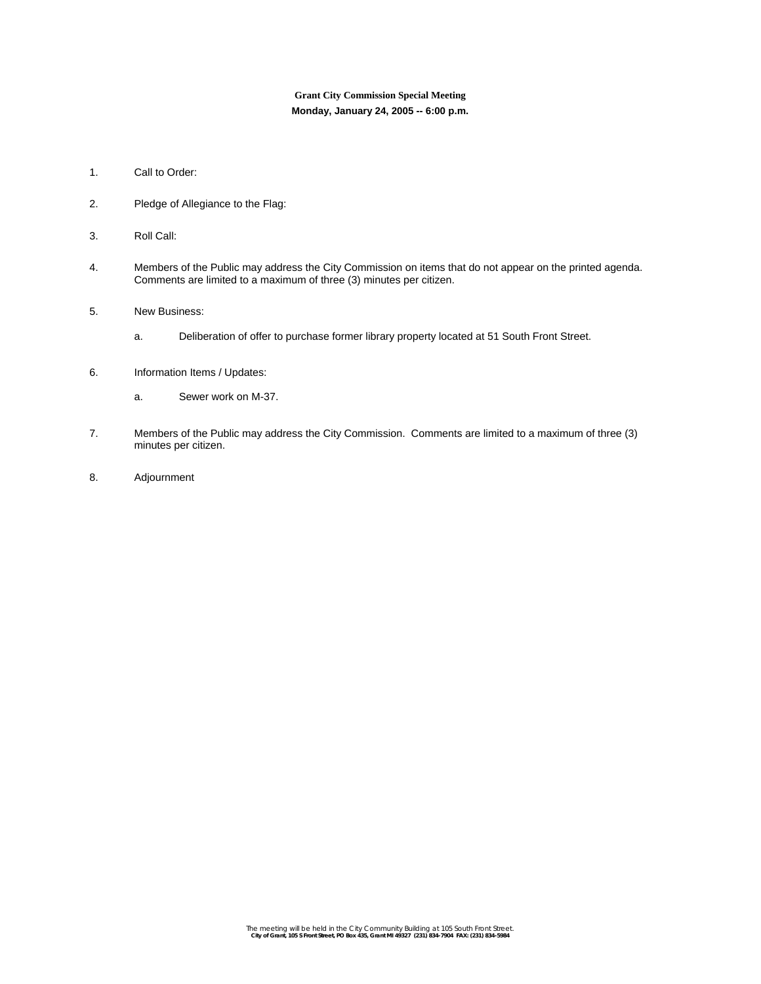# **Grant City Commission Special Meeting Monday, January 24, 2005 -- 6:00 p.m.**

- 1. Call to Order:
- 2. Pledge of Allegiance to the Flag:
- 3. Roll Call:
- 4. Members of the Public may address the City Commission on items that do not appear on the printed agenda. Comments are limited to a maximum of three (3) minutes per citizen.
- 5. New Business:
	- a. Deliberation of offer to purchase former library property located at 51 South Front Street.
- 6. Information Items / Updates:
	- a. Sewer work on M-37.
- 7. Members of the Public may address the City Commission. Comments are limited to a maximum of three (3) minutes per citizen.
- 8. Adjournment